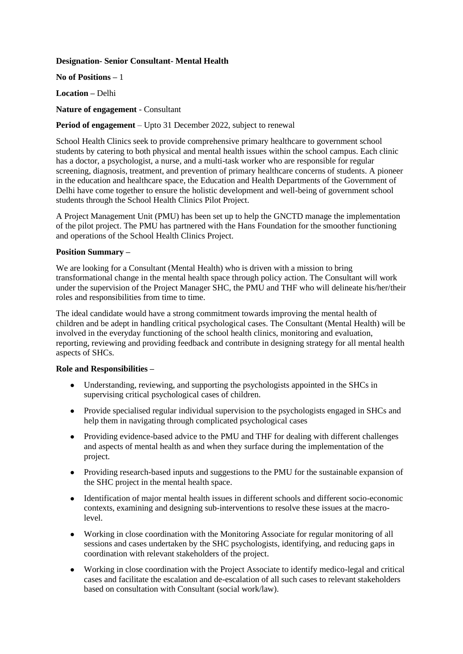### **Designation- Senior Consultant- Mental Health**

**No of Positions –** 1

**Location –** Delhi

**Nature of engagement** - Consultant

## **Period of engagement** – Upto 31 December 2022, subject to renewal

School Health Clinics seek to provide comprehensive primary healthcare to government school students by catering to both physical and mental health issues within the school campus. Each clinic has a doctor, a psychologist, a nurse, and a multi-task worker who are responsible for regular screening, diagnosis, treatment, and prevention of primary healthcare concerns of students. A pioneer in the education and healthcare space, the Education and Health Departments of the Government of Delhi have come together to ensure the holistic development and well-being of government school students through the School Health Clinics Pilot Project.

A Project Management Unit (PMU) has been set up to help the GNCTD manage the implementation of the pilot project. The PMU has partnered with the Hans Foundation for the smoother functioning and operations of the School Health Clinics Project.

### **Position Summary –**

We are looking for a Consultant (Mental Health) who is driven with a mission to bring transformational change in the mental health space through policy action. The Consultant will work under the supervision of the Project Manager SHC, the PMU and THF who will delineate his/her/their roles and responsibilities from time to time.

The ideal candidate would have a strong commitment towards improving the mental health of children and be adept in handling critical psychological cases. The Consultant (Mental Health) will be involved in the everyday functioning of the school health clinics, monitoring and evaluation, reporting, reviewing and providing feedback and contribute in designing strategy for all mental health aspects of SHCs.

#### **Role and Responsibilities –**

- Understanding, reviewing, and supporting the psychologists appointed in the SHCs in supervising critical psychological cases of children.
- Provide specialised regular individual supervision to the psychologists engaged in SHCs and help them in navigating through complicated psychological cases
- Providing evidence-based advice to the PMU and THF for dealing with different challenges and aspects of mental health as and when they surface during the implementation of the project.
- Providing research-based inputs and suggestions to the PMU for the sustainable expansion of the SHC project in the mental health space.
- Identification of major mental health issues in different schools and different socio-economic contexts, examining and designing sub-interventions to resolve these issues at the macrolevel.
- Working in close coordination with the Monitoring Associate for regular monitoring of all sessions and cases undertaken by the SHC psychologists, identifying, and reducing gaps in coordination with relevant stakeholders of the project.
- Working in close coordination with the Project Associate to identify medico-legal and critical cases and facilitate the escalation and de-escalation of all such cases to relevant stakeholders based on consultation with Consultant (social work/law).